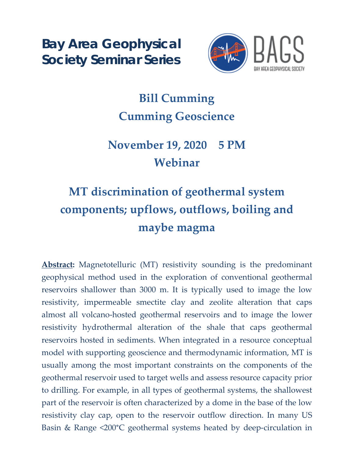**Bay Area Geophysical Society Seminar Series**



## **Bill Cumming Cumming Geoscience**

## **November 19, 2020 5 PM Webinar**

## **MT discrimination of geothermal system components; upflows, outflows, boiling and maybe magma**

**Abstract:** Magnetotelluric (MT) resistivity sounding is the predominant geophysical method used in the exploration of conventional geothermal reservoirs shallower than 3000 m. It is typically used to image the low resistivity, impermeable smectite clay and zeolite alteration that caps almost all volcano-hosted geothermal reservoirs and to image the lower resistivity hydrothermal alteration of the shale that caps geothermal reservoirs hosted in sediments. When integrated in a resource conceptual model with supporting geoscience and thermodynamic information, MT is usually among the most important constraints on the components of the geothermal reservoir used to target wells and assess resource capacity prior to drilling. For example, in all types of geothermal systems, the shallowest part of the reservoir is often characterized by a dome in the base of the low resistivity clay cap, open to the reservoir outflow direction. In many US Basin & Range <200°C geothermal systems heated by deep-circulation in